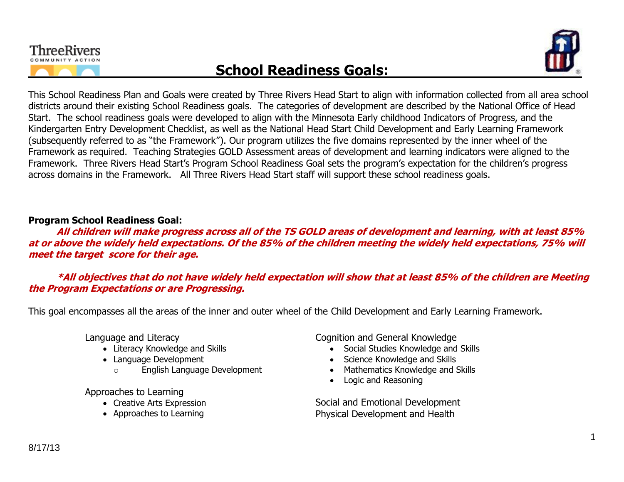



This School Readiness Plan and Goals were created by Three Rivers Head Start to align with information collected from all area school districts around their existing School Readiness goals. The categories of development are described by the National Office of Head Start. The school readiness goals were developed to align with the Minnesota Early childhood Indicators of Progress, and the Kindergarten Entry Development Checklist, as well as the National Head Start Child Development and Early Learning Framework (subsequently referred to as "the Framework"). Our program utilizes the five domains represented by the inner wheel of the Framework as required. Teaching Strategies GOLD Assessment areas of development and learning indicators were aligned to the Framework. Three Rivers Head Start's Program School Readiness Goal sets the program's expectation for the children's progress across domains in the Framework. All Three Rivers Head Start staff will support these school readiness goals.

## **Program School Readiness Goal:**

**All children will make progress across all of the TS GOLD areas of development and learning, with at least 85% at or above the widely held expectations. Of the 85% of the children meeting the widely held expectations, 75% will meet the target score for their age.**

**\*All objectives that do not have widely held expectation will show that at least 85% of the children are Meeting the Program Expectations or are Progressing.**

This goal encompasses all the areas of the inner and outer wheel of the Child Development and Early Learning Framework.

Language and Literacy

- Literacy Knowledge and Skills
- Language Development
	- o English Language Development

Approaches to Learning

- Creative Arts Expression
- Approaches to Learning

Cognition and General Knowledge

- Social Studies Knowledge and Skills
- Science Knowledge and Skills
- Mathematics Knowledge and Skills
- Logic and Reasoning

Social and Emotional Development Physical Development and Health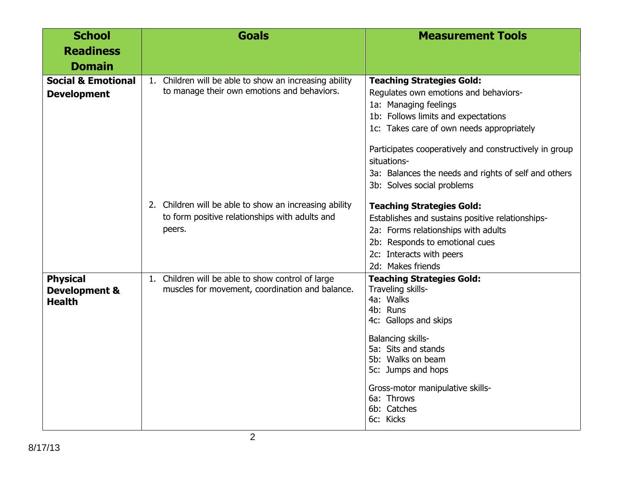| <b>School</b>                                                | <b>Goals</b>                                                                                                        | <b>Measurement Tools</b>                                                                                                                                                                                                                                                                                                                              |
|--------------------------------------------------------------|---------------------------------------------------------------------------------------------------------------------|-------------------------------------------------------------------------------------------------------------------------------------------------------------------------------------------------------------------------------------------------------------------------------------------------------------------------------------------------------|
| <b>Readiness</b>                                             |                                                                                                                     |                                                                                                                                                                                                                                                                                                                                                       |
| <b>Domain</b>                                                |                                                                                                                     |                                                                                                                                                                                                                                                                                                                                                       |
| <b>Social &amp; Emotional</b><br><b>Development</b>          | 1. Children will be able to show an increasing ability<br>to manage their own emotions and behaviors.               | <b>Teaching Strategies Gold:</b><br>Regulates own emotions and behaviors-<br>1a: Managing feelings<br>1b: Follows limits and expectations<br>1c: Takes care of own needs appropriately<br>Participates cooperatively and constructively in group<br>situations-<br>3a: Balances the needs and rights of self and others<br>3b: Solves social problems |
|                                                              | 2. Children will be able to show an increasing ability<br>to form positive relationships with adults and<br>peers.  | <b>Teaching Strategies Gold:</b><br>Establishes and sustains positive relationships-<br>2a: Forms relationships with adults<br>2b: Responds to emotional cues<br>2c: Interacts with peers<br>2d: Makes friends                                                                                                                                        |
| <b>Physical</b><br><b>Development &amp;</b><br><b>Health</b> | Children will be able to show control of large<br>1 <sub>1</sub><br>muscles for movement, coordination and balance. | <b>Teaching Strategies Gold:</b><br>Traveling skills-<br>4a: Walks<br>4b: Runs<br>4c: Gallops and skips<br>Balancing skills-<br>5a: Sits and stands<br>5b: Walks on beam<br>5c: Jumps and hops<br>Gross-motor manipulative skills-<br>6a: Throws<br>6b: Catches<br>6c: Kicks                                                                          |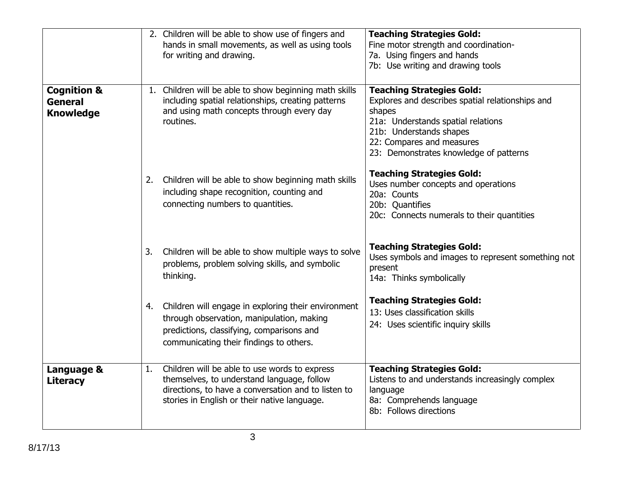|                                                       |    | 2. Children will be able to show use of fingers and<br>hands in small movements, as well as using tools<br>for writing and drawing.                                                                | <b>Teaching Strategies Gold:</b><br>Fine motor strength and coordination-<br>7a. Using fingers and hands<br>7b: Use writing and drawing tools                                                                                          |
|-------------------------------------------------------|----|----------------------------------------------------------------------------------------------------------------------------------------------------------------------------------------------------|----------------------------------------------------------------------------------------------------------------------------------------------------------------------------------------------------------------------------------------|
| <b>Cognition &amp;</b><br>General<br><b>Knowledge</b> | 1. | Children will be able to show beginning math skills<br>including spatial relationships, creating patterns<br>and using math concepts through every day<br>routines.                                | <b>Teaching Strategies Gold:</b><br>Explores and describes spatial relationships and<br>shapes<br>21a: Understands spatial relations<br>21b: Understands shapes<br>22: Compares and measures<br>23: Demonstrates knowledge of patterns |
|                                                       | 2. | Children will be able to show beginning math skills<br>including shape recognition, counting and<br>connecting numbers to quantities.                                                              | <b>Teaching Strategies Gold:</b><br>Uses number concepts and operations<br>20a: Counts<br>20b: Quantifies<br>20c: Connects numerals to their quantities                                                                                |
|                                                       | 3. | Children will be able to show multiple ways to solve<br>problems, problem solving skills, and symbolic<br>thinking.                                                                                | <b>Teaching Strategies Gold:</b><br>Uses symbols and images to represent something not<br>present<br>14a: Thinks symbolically                                                                                                          |
|                                                       | 4. | Children will engage in exploring their environment<br>through observation, manipulation, making<br>predictions, classifying, comparisons and<br>communicating their findings to others.           | <b>Teaching Strategies Gold:</b><br>13: Uses classification skills<br>24: Uses scientific inquiry skills                                                                                                                               |
| Language &<br><b>Literacy</b>                         | 1. | Children will be able to use words to express<br>themselves, to understand language, follow<br>directions, to have a conversation and to listen to<br>stories in English or their native language. | <b>Teaching Strategies Gold:</b><br>Listens to and understands increasingly complex<br>language<br>8a: Comprehends language<br>8b: Follows directions                                                                                  |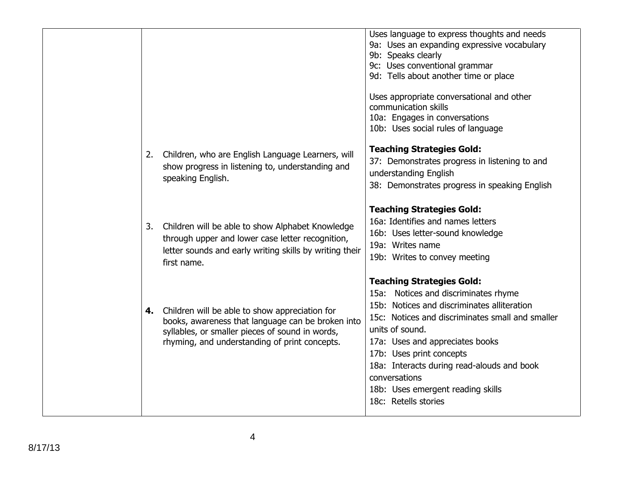|    |                                                                                                                                                                                                         | Uses language to express thoughts and needs<br>9a: Uses an expanding expressive vocabulary<br>9b: Speaks clearly<br>9c: Uses conventional grammar<br>9d: Tells about another time or place<br>Uses appropriate conversational and other<br>communication skills<br>10a: Engages in conversations<br>10b: Uses social rules of language                                                    |
|----|---------------------------------------------------------------------------------------------------------------------------------------------------------------------------------------------------------|-------------------------------------------------------------------------------------------------------------------------------------------------------------------------------------------------------------------------------------------------------------------------------------------------------------------------------------------------------------------------------------------|
| 2. | Children, who are English Language Learners, will<br>show progress in listening to, understanding and<br>speaking English.                                                                              | <b>Teaching Strategies Gold:</b><br>37: Demonstrates progress in listening to and<br>understanding English<br>38: Demonstrates progress in speaking English                                                                                                                                                                                                                               |
| 3. | Children will be able to show Alphabet Knowledge<br>through upper and lower case letter recognition,<br>letter sounds and early writing skills by writing their<br>first name.                          | <b>Teaching Strategies Gold:</b><br>16a: Identifies and names letters<br>16b: Uses letter-sound knowledge<br>19a: Writes name<br>19b: Writes to convey meeting                                                                                                                                                                                                                            |
| 4. | Children will be able to show appreciation for<br>books, awareness that language can be broken into<br>syllables, or smaller pieces of sound in words,<br>rhyming, and understanding of print concepts. | <b>Teaching Strategies Gold:</b><br>15a: Notices and discriminates rhyme<br>15b: Notices and discriminates alliteration<br>15c: Notices and discriminates small and smaller<br>units of sound.<br>17a: Uses and appreciates books<br>17b: Uses print concepts<br>18a: Interacts during read-alouds and book<br>conversations<br>18b: Uses emergent reading skills<br>18c: Retells stories |